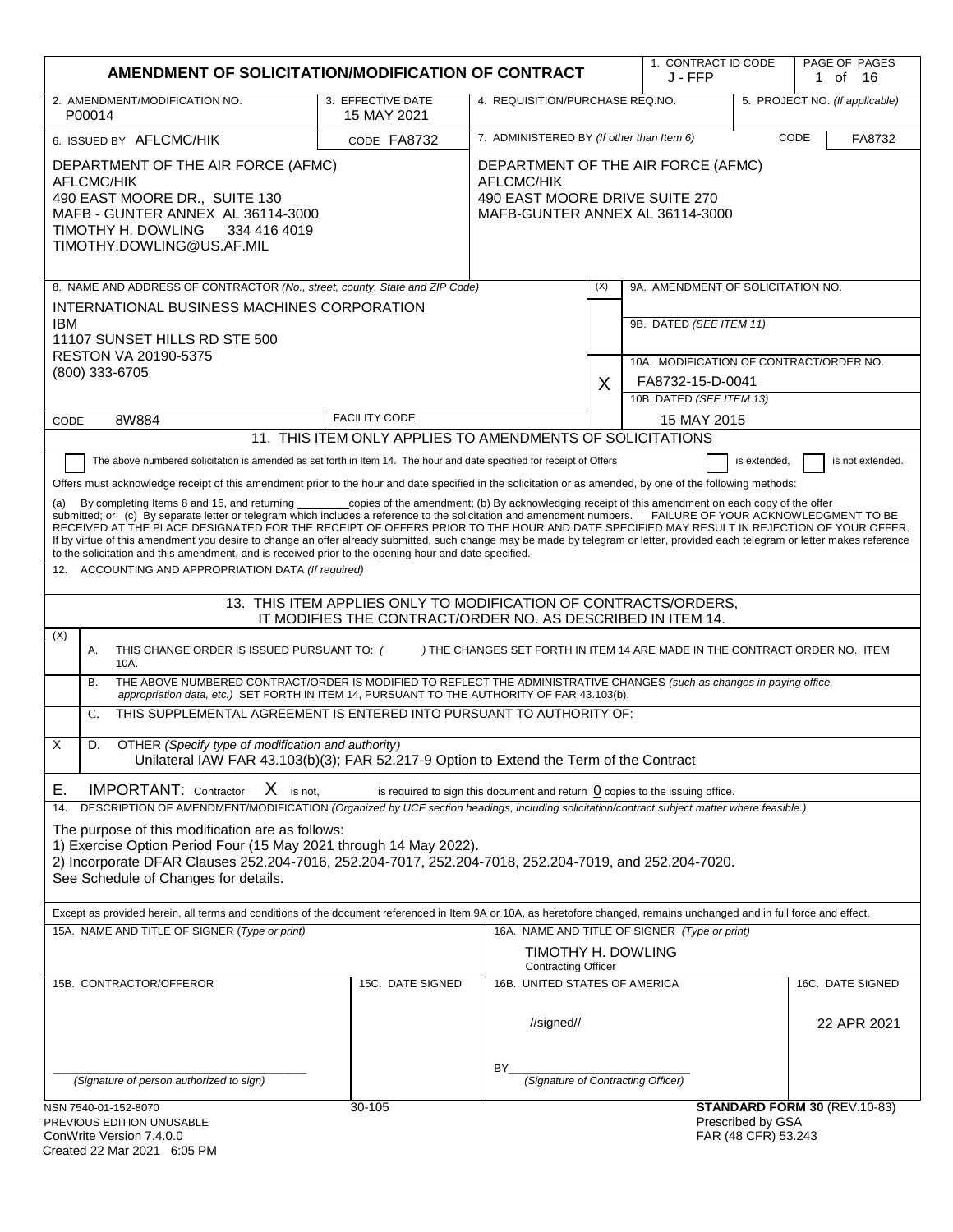|                                                                                                                                                                                                                                                                                                                                                                                                                                                                                                                                                                                                                                                                                                                                                                                                                                                                                                                                                                                                                                                                                                                                                                                                                                                                                                                                                                                                                                                                                                                                                                                                                                                                                                                                                                                                                                                                                                                                                                                                                                                                                                                                                                                                                                                                     | AMENDMENT OF SOLICITATION/MODIFICATION OF CONTRACT        |                                                                                                                              |                            | 1. CONTRACT ID CODE<br>J - FFP                                      |                                           | PAGE OF PAGES<br>1 of 16       |
|---------------------------------------------------------------------------------------------------------------------------------------------------------------------------------------------------------------------------------------------------------------------------------------------------------------------------------------------------------------------------------------------------------------------------------------------------------------------------------------------------------------------------------------------------------------------------------------------------------------------------------------------------------------------------------------------------------------------------------------------------------------------------------------------------------------------------------------------------------------------------------------------------------------------------------------------------------------------------------------------------------------------------------------------------------------------------------------------------------------------------------------------------------------------------------------------------------------------------------------------------------------------------------------------------------------------------------------------------------------------------------------------------------------------------------------------------------------------------------------------------------------------------------------------------------------------------------------------------------------------------------------------------------------------------------------------------------------------------------------------------------------------------------------------------------------------------------------------------------------------------------------------------------------------------------------------------------------------------------------------------------------------------------------------------------------------------------------------------------------------------------------------------------------------------------------------------------------------------------------------------------------------|-----------------------------------------------------------|------------------------------------------------------------------------------------------------------------------------------|----------------------------|---------------------------------------------------------------------|-------------------------------------------|--------------------------------|
| 2. AMENDMENT/MODIFICATION NO.<br>P00014                                                                                                                                                                                                                                                                                                                                                                                                                                                                                                                                                                                                                                                                                                                                                                                                                                                                                                                                                                                                                                                                                                                                                                                                                                                                                                                                                                                                                                                                                                                                                                                                                                                                                                                                                                                                                                                                                                                                                                                                                                                                                                                                                                                                                             | 3. EFFECTIVE DATE<br>15 MAY 2021                          | 4. REQUISITION/PURCHASE REQ.NO.                                                                                              |                            |                                                                     |                                           | 5. PROJECT NO. (If applicable) |
| 6. ISSUED BY AFLCMC/HIK                                                                                                                                                                                                                                                                                                                                                                                                                                                                                                                                                                                                                                                                                                                                                                                                                                                                                                                                                                                                                                                                                                                                                                                                                                                                                                                                                                                                                                                                                                                                                                                                                                                                                                                                                                                                                                                                                                                                                                                                                                                                                                                                                                                                                                             | CODE FA8732                                               | 7. ADMINISTERED BY (If other than Item 6)<br>CODE                                                                            |                            |                                                                     | FA8732                                    |                                |
| DEPARTMENT OF THE AIR FORCE (AFMC)<br><b>AFLCMC/HIK</b><br>490 EAST MOORE DR., SUITE 130<br>MAFB - GUNTER ANNEX AL 36114-3000<br>TIMOTHY H. DOWLING<br>334 416 4019<br>TIMOTHY.DOWLING@US.AF.MIL                                                                                                                                                                                                                                                                                                                                                                                                                                                                                                                                                                                                                                                                                                                                                                                                                                                                                                                                                                                                                                                                                                                                                                                                                                                                                                                                                                                                                                                                                                                                                                                                                                                                                                                                                                                                                                                                                                                                                                                                                                                                    |                                                           | DEPARTMENT OF THE AIR FORCE (AFMC)<br><b>AFLCMC/HIK</b><br>490 EAST MOORE DRIVE SUITE 270<br>MAFB-GUNTER ANNEX AL 36114-3000 |                            |                                                                     |                                           |                                |
| 8. NAME AND ADDRESS OF CONTRACTOR (No., street, county, State and ZIP Code)                                                                                                                                                                                                                                                                                                                                                                                                                                                                                                                                                                                                                                                                                                                                                                                                                                                                                                                                                                                                                                                                                                                                                                                                                                                                                                                                                                                                                                                                                                                                                                                                                                                                                                                                                                                                                                                                                                                                                                                                                                                                                                                                                                                         |                                                           |                                                                                                                              | (X)                        | 9A. AMENDMENT OF SOLICITATION NO.                                   |                                           |                                |
| INTERNATIONAL BUSINESS MACHINES CORPORATION<br><b>IBM</b><br>11107 SUNSET HILLS RD STE 500<br>RESTON VA 20190-5375                                                                                                                                                                                                                                                                                                                                                                                                                                                                                                                                                                                                                                                                                                                                                                                                                                                                                                                                                                                                                                                                                                                                                                                                                                                                                                                                                                                                                                                                                                                                                                                                                                                                                                                                                                                                                                                                                                                                                                                                                                                                                                                                                  |                                                           |                                                                                                                              |                            | 9B. DATED (SEE ITEM 11)                                             |                                           |                                |
| (800) 333-6705                                                                                                                                                                                                                                                                                                                                                                                                                                                                                                                                                                                                                                                                                                                                                                                                                                                                                                                                                                                                                                                                                                                                                                                                                                                                                                                                                                                                                                                                                                                                                                                                                                                                                                                                                                                                                                                                                                                                                                                                                                                                                                                                                                                                                                                      |                                                           |                                                                                                                              |                            | 10A. MODIFICATION OF CONTRACT/ORDER NO.<br>FA8732-15-D-0041         |                                           |                                |
|                                                                                                                                                                                                                                                                                                                                                                                                                                                                                                                                                                                                                                                                                                                                                                                                                                                                                                                                                                                                                                                                                                                                                                                                                                                                                                                                                                                                                                                                                                                                                                                                                                                                                                                                                                                                                                                                                                                                                                                                                                                                                                                                                                                                                                                                     |                                                           |                                                                                                                              | X                          | 10B. DATED (SEE ITEM 13)                                            |                                           |                                |
| 8W884<br>CODE                                                                                                                                                                                                                                                                                                                                                                                                                                                                                                                                                                                                                                                                                                                                                                                                                                                                                                                                                                                                                                                                                                                                                                                                                                                                                                                                                                                                                                                                                                                                                                                                                                                                                                                                                                                                                                                                                                                                                                                                                                                                                                                                                                                                                                                       | <b>FACILITY CODE</b>                                      |                                                                                                                              |                            | 15 MAY 2015                                                         |                                           |                                |
|                                                                                                                                                                                                                                                                                                                                                                                                                                                                                                                                                                                                                                                                                                                                                                                                                                                                                                                                                                                                                                                                                                                                                                                                                                                                                                                                                                                                                                                                                                                                                                                                                                                                                                                                                                                                                                                                                                                                                                                                                                                                                                                                                                                                                                                                     | 11. THIS ITEM ONLY APPLIES TO AMENDMENTS OF SOLICITATIONS |                                                                                                                              |                            |                                                                     |                                           |                                |
| The above numbered solicitation is amended as set forth in Item 14. The hour and date specified for receipt of Offers<br>is not extended.<br>is extended,<br>Offers must acknowledge receipt of this amendment prior to the hour and date specified in the solicitation or as amended, by one of the following methods:<br>By completing Items 8 and 15, and returning ___________copies of the amendment; (b) By acknowledging receipt of this amendment on each copy of the offer<br>submitted; or (c) By separate letter or telegram which includes a reference to the solicitation and amendment numbers.<br>FAILURE OF YOUR ACKNOWLEDGMENT TO BE<br>RECEIVED AT THE PLACE DESIGNATED FOR THE RECEIPT OF OFFERS PRIOR TO THE HOUR AND DATE SPECIFIED MAY RESULT IN REJECTION OF YOUR OFFER.<br>If by virtue of this amendment you desire to change an offer already submitted, such change may be made by telegram or letter, provided each telegram or letter makes reference<br>to the solicitation and this amendment, and is received prior to the opening hour and date specified.<br>12. ACCOUNTING AND APPROPRIATION DATA (If required)<br>13. THIS ITEM APPLIES ONLY TO MODIFICATION OF CONTRACTS/ORDERS,<br>IT MODIFIES THE CONTRACT/ORDER NO. AS DESCRIBED IN ITEM 14.<br>(X)<br>) THE CHANGES SET FORTH IN ITEM 14 ARE MADE IN THE CONTRACT ORDER NO. ITEM<br>Α.<br>THIS CHANGE ORDER IS ISSUED PURSUANT TO: (<br>10A.<br>THE ABOVE NUMBERED CONTRACT/ORDER IS MODIFIED TO REFLECT THE ADMINISTRATIVE CHANGES (such as changes in paying office,<br>B.<br>appropriation data, etc.) SET FORTH IN ITEM 14, PURSUANT TO THE AUTHORITY OF FAR 43.103(b).<br>THIS SUPPLEMENTAL AGREEMENT IS ENTERED INTO PURSUANT TO AUTHORITY OF:<br>C.<br>X<br>D.<br>OTHER (Specify type of modification and authority)<br>Unilateral IAW FAR 43.103(b)(3); FAR 52.217-9 Option to Extend the Term of the Contract<br>$X$ is not,<br><b>IMPORTANT:</b> Contractor<br>Е.<br>is required to sign this document and return $\Omega$ copies to the issuing office.<br>DESCRIPTION OF AMENDMENT/MODIFICATION (Organized by UCF section headings, including solicitation/contract subject matter where feasible.)<br>14.<br>The purpose of this modification are as follows: |                                                           |                                                                                                                              |                            |                                                                     |                                           |                                |
| 2) Incorporate DFAR Clauses 252.204-7016, 252.204-7017, 252.204-7018, 252.204-7019, and 252.204-7020.<br>See Schedule of Changes for details.<br>Except as provided herein, all terms and conditions of the document referenced in Item 9A or 10A, as heretofore changed, remains unchanged and in full force and effect.                                                                                                                                                                                                                                                                                                                                                                                                                                                                                                                                                                                                                                                                                                                                                                                                                                                                                                                                                                                                                                                                                                                                                                                                                                                                                                                                                                                                                                                                                                                                                                                                                                                                                                                                                                                                                                                                                                                                           |                                                           |                                                                                                                              |                            |                                                                     |                                           |                                |
| 15A. NAME AND TITLE OF SIGNER (Type or print)                                                                                                                                                                                                                                                                                                                                                                                                                                                                                                                                                                                                                                                                                                                                                                                                                                                                                                                                                                                                                                                                                                                                                                                                                                                                                                                                                                                                                                                                                                                                                                                                                                                                                                                                                                                                                                                                                                                                                                                                                                                                                                                                                                                                                       |                                                           |                                                                                                                              | <b>Contracting Officer</b> | 16A. NAME AND TITLE OF SIGNER (Type or print)<br>TIMOTHY H. DOWLING |                                           |                                |
| 15B. CONTRACTOR/OFFEROR                                                                                                                                                                                                                                                                                                                                                                                                                                                                                                                                                                                                                                                                                                                                                                                                                                                                                                                                                                                                                                                                                                                                                                                                                                                                                                                                                                                                                                                                                                                                                                                                                                                                                                                                                                                                                                                                                                                                                                                                                                                                                                                                                                                                                                             | 15C. DATE SIGNED                                          | 16B. UNITED STATES OF AMERICA                                                                                                |                            |                                                                     |                                           | 16C. DATE SIGNED               |
|                                                                                                                                                                                                                                                                                                                                                                                                                                                                                                                                                                                                                                                                                                                                                                                                                                                                                                                                                                                                                                                                                                                                                                                                                                                                                                                                                                                                                                                                                                                                                                                                                                                                                                                                                                                                                                                                                                                                                                                                                                                                                                                                                                                                                                                                     |                                                           | //signed//                                                                                                                   |                            |                                                                     |                                           | 22 APR 2021                    |
| (Signature of person authorized to sign)                                                                                                                                                                                                                                                                                                                                                                                                                                                                                                                                                                                                                                                                                                                                                                                                                                                                                                                                                                                                                                                                                                                                                                                                                                                                                                                                                                                                                                                                                                                                                                                                                                                                                                                                                                                                                                                                                                                                                                                                                                                                                                                                                                                                                            |                                                           | BY.<br>(Signature of Contracting Officer)                                                                                    |                            |                                                                     |                                           |                                |
| NSN 7540-01-152-8070<br>PREVIOUS EDITION UNUSABLE<br>ConWrite Version $7400$                                                                                                                                                                                                                                                                                                                                                                                                                                                                                                                                                                                                                                                                                                                                                                                                                                                                                                                                                                                                                                                                                                                                                                                                                                                                                                                                                                                                                                                                                                                                                                                                                                                                                                                                                                                                                                                                                                                                                                                                                                                                                                                                                                                        | 30-105                                                    |                                                                                                                              |                            |                                                                     | Prescribed by GSA<br>$FAR$ (ARCER) 53.243 | STANDARD FORM 30 (REV.10-83)   |

| <u>LILE VIOUU LUITIUN UNUUNDLE</u> |  |
|------------------------------------|--|
| ConWrite Version 7.4.0.0           |  |
| Created 22 Mar 2021  6:05 PM       |  |

FAR (48 CFR) 53.243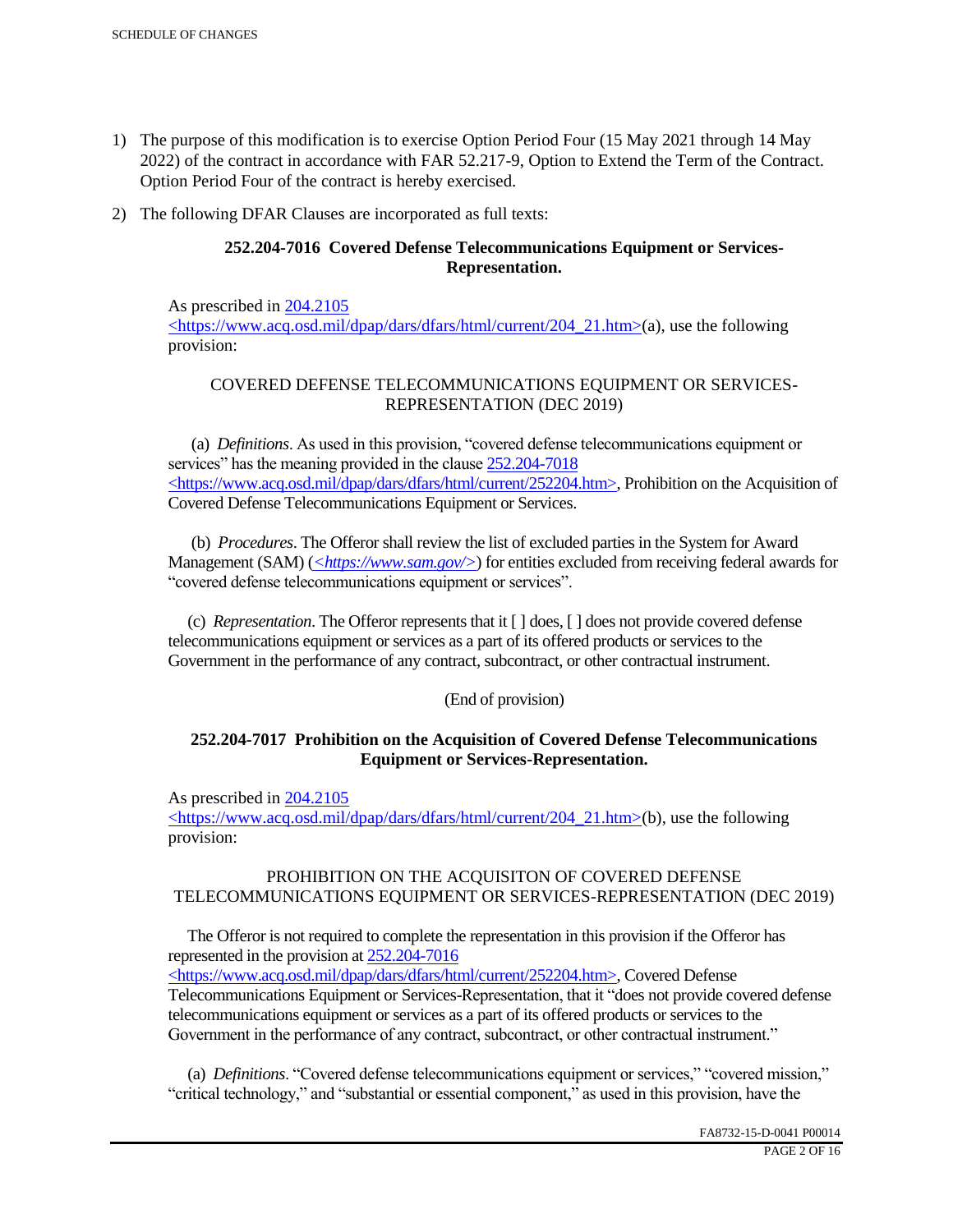- 1) The purpose of this modification is to exercise Option Period Four (15 May 2021 through 14 May 2022) of the contract in accordance with FAR 52.217-9, Option to Extend the Term of the Contract. Option Period Four of the contract is hereby exercised.
- 2) The following DFAR Clauses are incorporated as full texts:

# **252.204-7016 Covered Defense Telecommunications Equipment or Services-Representation.**

As prescribed in 204.2105 <https://www.acq.osd.mil/dpap/dars/dfars/html/current/204\_21.htm>(a), use the following provision:

# COVERED DEFENSE TELECOMMUNICATIONS EQUIPMENT OR SERVICES-REPRESENTATION (DEC 2019)

 (a) *Definitions*. As used in this provision, "covered defense telecommunications equipment or services" has the meaning provided in the clause  $252.204 - 7018$ <https://www.acq.osd.mil/dpap/dars/dfars/html/current/252204.htm>, Prohibition on the Acquisition of Covered Defense Telecommunications Equipment or Services.

 (b) *Procedures*. The Offeror shall review the list of excluded parties in the System for Award Management (SAM) (*<https://www.sam.gov/>*) for entities excluded from receiving federal awards for "covered defense telecommunications equipment or services".

 (c) *Representation*. The Offeror represents that it [ ] does, [ ] does not provide covered defense telecommunications equipment or services as a part of its offered products or services to the Government in the performance of any contract, subcontract, or other contractual instrument.

## (End of provision)

## **252.204-7017 Prohibition on the Acquisition of Covered Defense Telecommunications Equipment or Services-Representation.**

As prescribed in 204.2105

<https://www.acq.osd.mil/dpap/dars/dfars/html/current/204\_21.htm>(b), use the following provision:

## PROHIBITION ON THE ACQUISITON OF COVERED DEFENSE TELECOMMUNICATIONS EQUIPMENT OR SERVICES-REPRESENTATION (DEC 2019)

 The Offeror is not required to complete the representation in this provision if the Offeror has represented in the provision at 252.204-7016

<https://www.acq.osd.mil/dpap/dars/dfars/html/current/252204.htm>, Covered Defense Telecommunications Equipment or Services-Representation, that it "does not provide covered defense telecommunications equipment or services as a part of its offered products or services to the Government in the performance of any contract, subcontract, or other contractual instrument."

 (a) *Definitions*. "Covered defense telecommunications equipment or services," "covered mission," "critical technology," and "substantial or essential component," as used in this provision, have the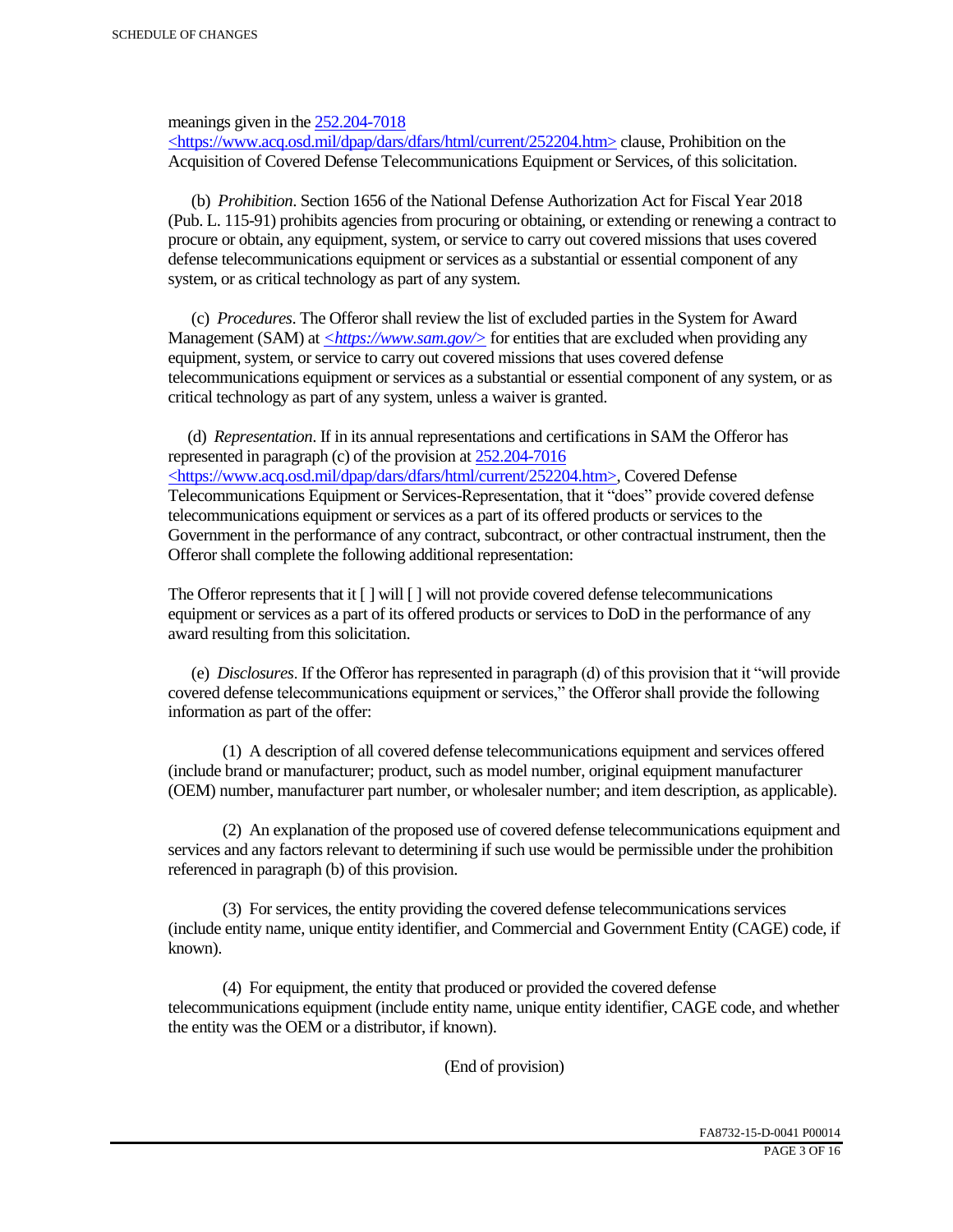meanings given in the 252.204-7018

 $\langle$ https://www.acq.osd.mil/dpap/dars/dfars/html/current/252204.htm> clause, Prohibition on the Acquisition of Covered Defense Telecommunications Equipment or Services, of this solicitation.

 (b) *Prohibition*. Section 1656 of the National Defense Authorization Act for Fiscal Year 2018 (Pub. L. 115-91) prohibits agencies from procuring or obtaining, or extending or renewing a contract to procure or obtain, any equipment, system, or service to carry out covered missions that uses covered defense telecommunications equipment or services as a substantial or essential component of any system, or as critical technology as part of any system.

 (c) *Procedures*. The Offeror shall review the list of excluded parties in the System for Award Management (SAM) at  $\leq$ https://www.sam.gov/> for entities that are excluded when providing any equipment, system, or service to carry out covered missions that uses covered defense telecommunications equipment or services as a substantial or essential component of any system, or as critical technology as part of any system, unless a waiver is granted.

 (d) *Representation*. If in its annual representations and certifications in SAM the Offeror has represented in paragraph (c) of the provision at 252.204-7016 <https://www.acq.osd.mil/dpap/dars/dfars/html/current/252204.htm>, Covered Defense Telecommunications Equipment or Services-Representation, that it "does" provide covered defense telecommunications equipment or services as a part of its offered products or services to the Government in the performance of any contract, subcontract, or other contractual instrument, then the Offeror shall complete the following additional representation:

The Offeror represents that it  $\lceil \cdot \rceil$  will  $\lceil \cdot \rceil$  will not provide covered defense telecommunications equipment or services as a part of its offered products or services to DoD in the performance of any award resulting from this solicitation.

 (e) *Disclosures*. If the Offeror has represented in paragraph (d) of this provision that it "will provide covered defense telecommunications equipment or services," the Offeror shall provide the following information as part of the offer:

 (1) A description of all covered defense telecommunications equipment and services offered (include brand or manufacturer; product, such as model number, original equipment manufacturer (OEM) number, manufacturer part number, or wholesaler number; and item description, as applicable).

 (2) An explanation of the proposed use of covered defense telecommunications equipment and services and any factors relevant to determining if such use would be permissible under the prohibition referenced in paragraph (b) of this provision.

 (3) For services, the entity providing the covered defense telecommunications services (include entity name, unique entity identifier, and Commercial and Government Entity (CAGE) code, if known).

 (4) For equipment, the entity that produced or provided the covered defense telecommunications equipment (include entity name, unique entity identifier, CAGE code, and whether the entity was the OEM or a distributor, if known).

(End of provision)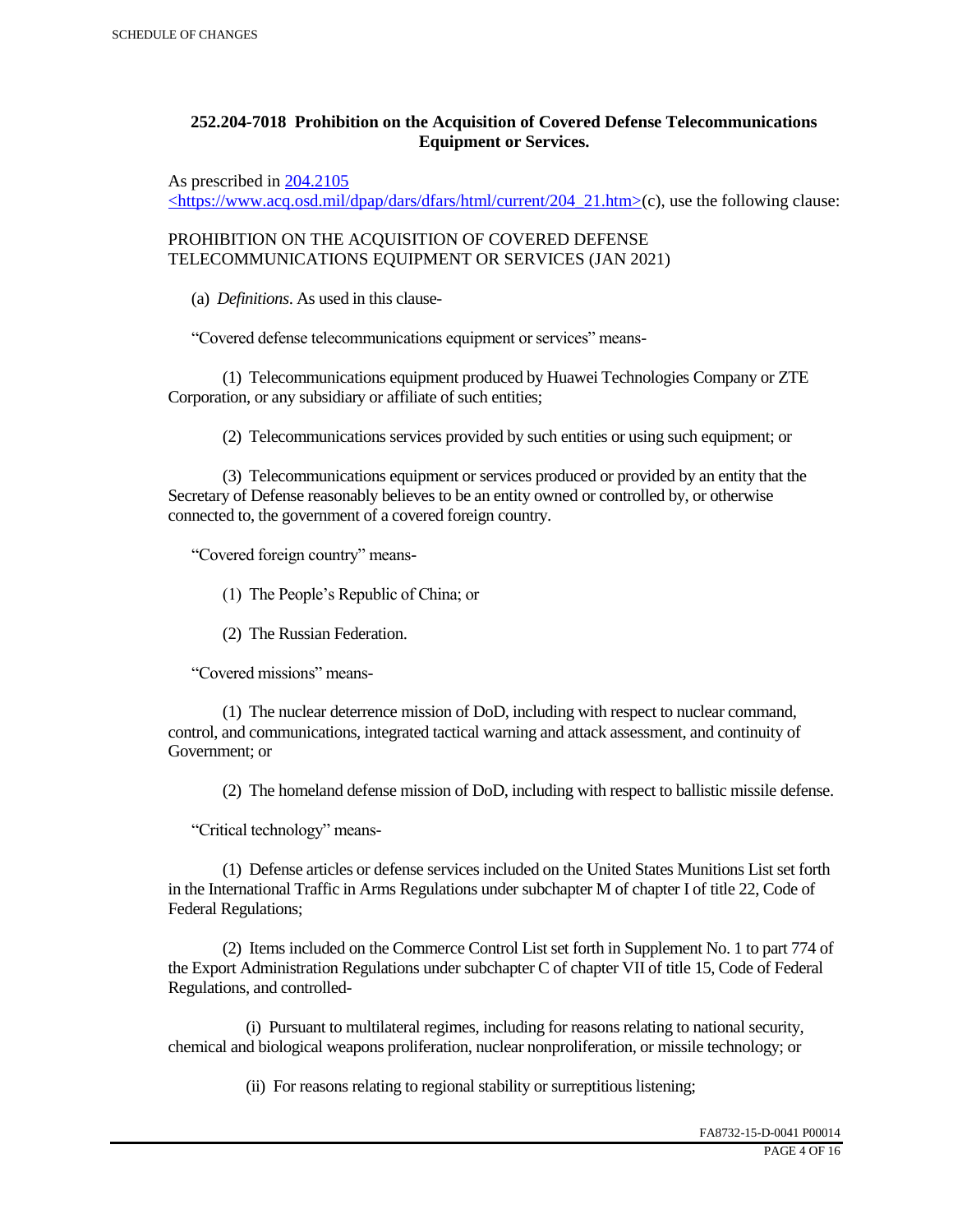# **252.204-7018 Prohibition on the Acquisition of Covered Defense Telecommunications Equipment or Services.**

As prescribed in 204.2105

 $\langle$ https://www.acq.osd.mil/dpap/dars/dfars/html/current/204\_21.htm>(c), use the following clause:

PROHIBITION ON THE ACQUISITION OF COVERED DEFENSE TELECOMMUNICATIONS EQUIPMENT OR SERVICES (JAN 2021)

(a) *Definitions*. As used in this clause-

"Covered defense telecommunications equipment or services" means-

 (1) Telecommunications equipment produced by Huawei Technologies Company or ZTE Corporation, or any subsidiary or affiliate of such entities;

(2) Telecommunications services provided by such entities or using such equipment; or

 (3) Telecommunications equipment or services produced or provided by an entity that the Secretary of Defense reasonably believes to be an entity owned or controlled by, or otherwise connected to, the government of a covered foreign country.

"Covered foreign country" means-

(1) The People's Republic of China; or

(2) The Russian Federation.

"Covered missions" means-

 (1) The nuclear deterrence mission of DoD, including with respect to nuclear command, control, and communications, integrated tactical warning and attack assessment, and continuity of Government; or

(2) The homeland defense mission of DoD, including with respect to ballistic missile defense.

"Critical technology" means-

 (1) Defense articles or defense services included on the United States Munitions List set forth in the International Traffic in Arms Regulations under subchapter M of chapter I of title 22, Code of Federal Regulations;

 (2) Items included on the Commerce Control List set forth in Supplement No. 1 to part 774 of the Export Administration Regulations under subchapter C of chapter VII of title 15, Code of Federal Regulations, and controlled-

 (i) Pursuant to multilateral regimes, including for reasons relating to national security, chemical and biological weapons proliferation, nuclear nonproliferation, or missile technology; or

(ii) For reasons relating to regional stability or surreptitious listening;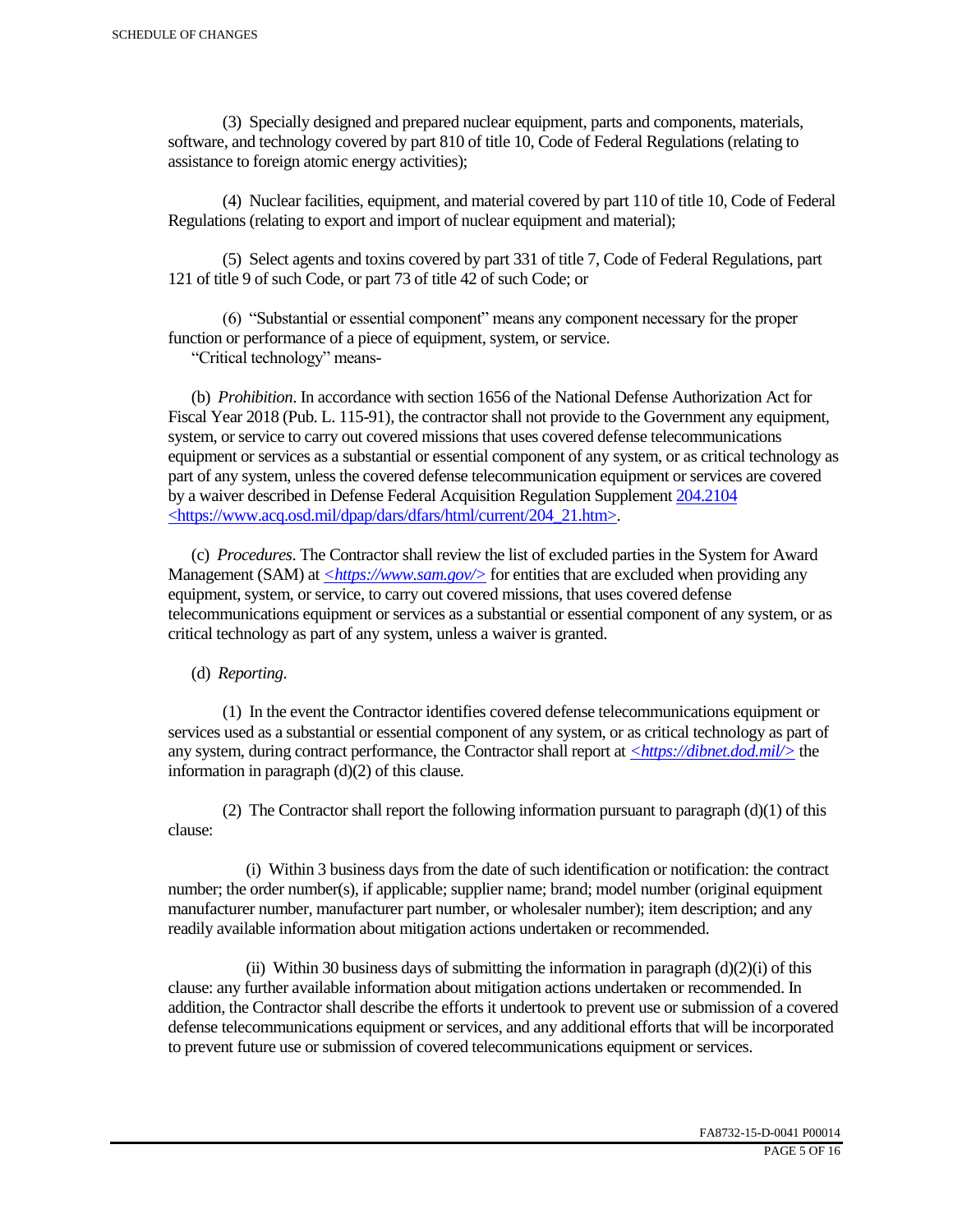(3) Specially designed and prepared nuclear equipment, parts and components, materials, software, and technology covered by part 810 of title 10, Code of Federal Regulations (relating to assistance to foreign atomic energy activities);

 (4) Nuclear facilities, equipment, and material covered by part 110 of title 10, Code of Federal Regulations (relating to export and import of nuclear equipment and material);

 (5) Select agents and toxins covered by part 331 of title 7, Code of Federal Regulations, part 121 of title 9 of such Code, or part 73 of title 42 of such Code; or

 (6) "Substantial or essential component" means any component necessary for the proper function or performance of a piece of equipment, system, or service.

"Critical technology" means-

 (b) *Prohibition*. In accordance with section 1656 of the National Defense Authorization Act for Fiscal Year 2018 (Pub. L. 115-91), the contractor shall not provide to the Government any equipment, system, or service to carry out covered missions that uses covered defense telecommunications equipment or services as a substantial or essential component of any system, or as critical technology as part of any system, unless the covered defense telecommunication equipment or services are covered by a waiver described in Defense Federal Acquisition Regulation Supplement 204.2104 <https://www.acq.osd.mil/dpap/dars/dfars/html/current/204\_21.htm>.

 (c) *Procedures*. The Contractor shall review the list of excluded parties in the System for Award Management (SAM) at  $\langle \frac{https://www.sam.gov/}{>}$  for entities that are excluded when providing any equipment, system, or service, to carry out covered missions, that uses covered defense telecommunications equipment or services as a substantial or essential component of any system, or as critical technology as part of any system, unless a waiver is granted.

(d) *Reporting*.

 (1) In the event the Contractor identifies covered defense telecommunications equipment or services used as a substantial or essential component of any system, or as critical technology as part of any system, during contract performance, the Contractor shall report at *<https://dibnet.dod.mil/>* the information in paragraph (d)(2) of this clause.

(2) The Contractor shall report the following information pursuant to paragraph  $(d)(1)$  of this clause:

 (i) Within 3 business days from the date of such identification or notification: the contract number; the order number(s), if applicable; supplier name; brand; model number (original equipment manufacturer number, manufacturer part number, or wholesaler number); item description; and any readily available information about mitigation actions undertaken or recommended.

(ii) Within 30 business days of submitting the information in paragraph  $(d)(2)(i)$  of this clause: any further available information about mitigation actions undertaken or recommended. In addition, the Contractor shall describe the efforts it undertook to prevent use or submission of a covered defense telecommunications equipment or services, and any additional efforts that will be incorporated to prevent future use or submission of covered telecommunications equipment or services.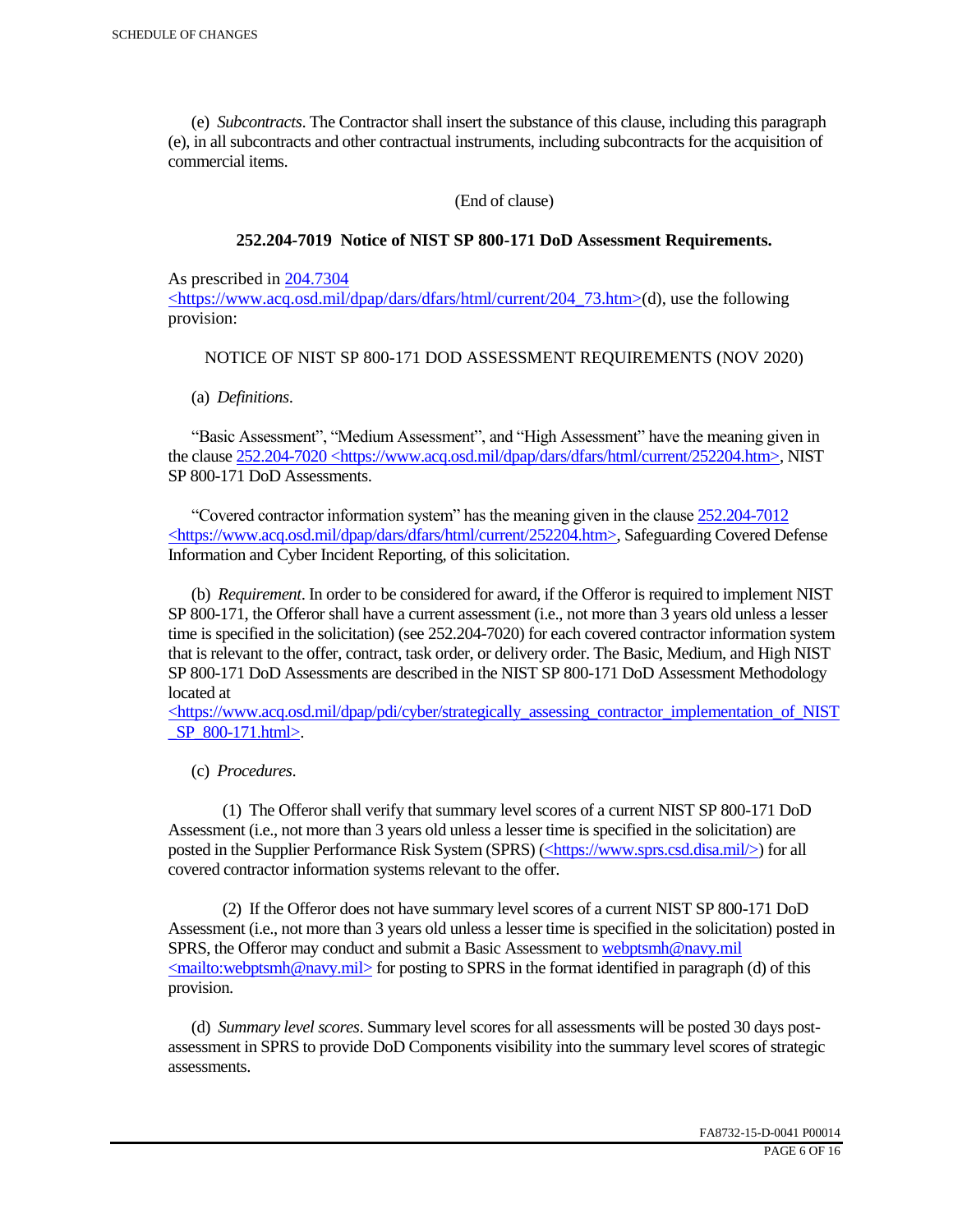(e) *Subcontracts*. The Contractor shall insert the substance of this clause, including this paragraph (e), in all subcontracts and other contractual instruments, including subcontracts for the acquisition of commercial items.

(End of clause)

### **252.204-7019 Notice of NIST SP 800-171 DoD Assessment Requirements.**

As prescribed in 204.7304

 $\langle$ https://www.acq.osd.mil/dpap/dars/dfars/html/current/204 73.htm>(d), use the following provision:

### NOTICE OF NIST SP 800-171 DOD ASSESSMENT REQUIREMENTS (NOV 2020)

(a) *Definitions*.

 "Basic Assessment", "Medium Assessment", and "High Assessment" have the meaning given in the clause 252.204-7020 <https://www.acq.osd.mil/dpap/dars/dfars/html/current/252204.htm>, NIST SP 800-171 DoD Assessments.

 "Covered contractor information system" has the meaning given in the clause 252.204-7012 <https://www.acq.osd.mil/dpap/dars/dfars/html/current/252204.htm>, Safeguarding Covered Defense Information and Cyber Incident Reporting, of this solicitation.

 (b) *Requirement*. In order to be considered for award, if the Offeror is required to implement NIST SP 800-171, the Offeror shall have a current assessment (i.e., not more than 3 years old unless a lesser time is specified in the solicitation) (see 252.204-7020) for each covered contractor information system that is relevant to the offer, contract, task order, or delivery order. The Basic, Medium, and High NIST SP 800-171 DoD Assessments are described in the NIST SP 800-171 DoD Assessment Methodology located at

 $\langle$ https://www.acq.osd.mil/dpap/pdi/cyber/strategically\_assessing\_contractor\_implementation\_of\_NIST \_SP\_800-171.html>.

(c) *Procedures*.

 (1) The Offeror shall verify that summary level scores of a current NIST SP 800-171 DoD Assessment (i.e., not more than 3 years old unless a lesser time is specified in the solicitation) are posted in the Supplier Performance Risk System (SPRS) (<https://www.sprs.csd.disa.mil/>) for all covered contractor information systems relevant to the offer.

 (2) If the Offeror does not have summary level scores of a current NIST SP 800-171 DoD Assessment (i.e., not more than 3 years old unless a lesser time is specified in the solicitation) posted in SPRS, the Offeror may conduct and submit a Basic Assessment to webptsmh@navy.mil  $\leq$ mailto:webptsmh@navy.mil> for posting to SPRS in the format identified in paragraph (d) of this provision.

 (d) *Summary level scores*. Summary level scores for all assessments will be posted 30 days postassessment in SPRS to provide DoD Components visibility into the summary level scores of strategic assessments.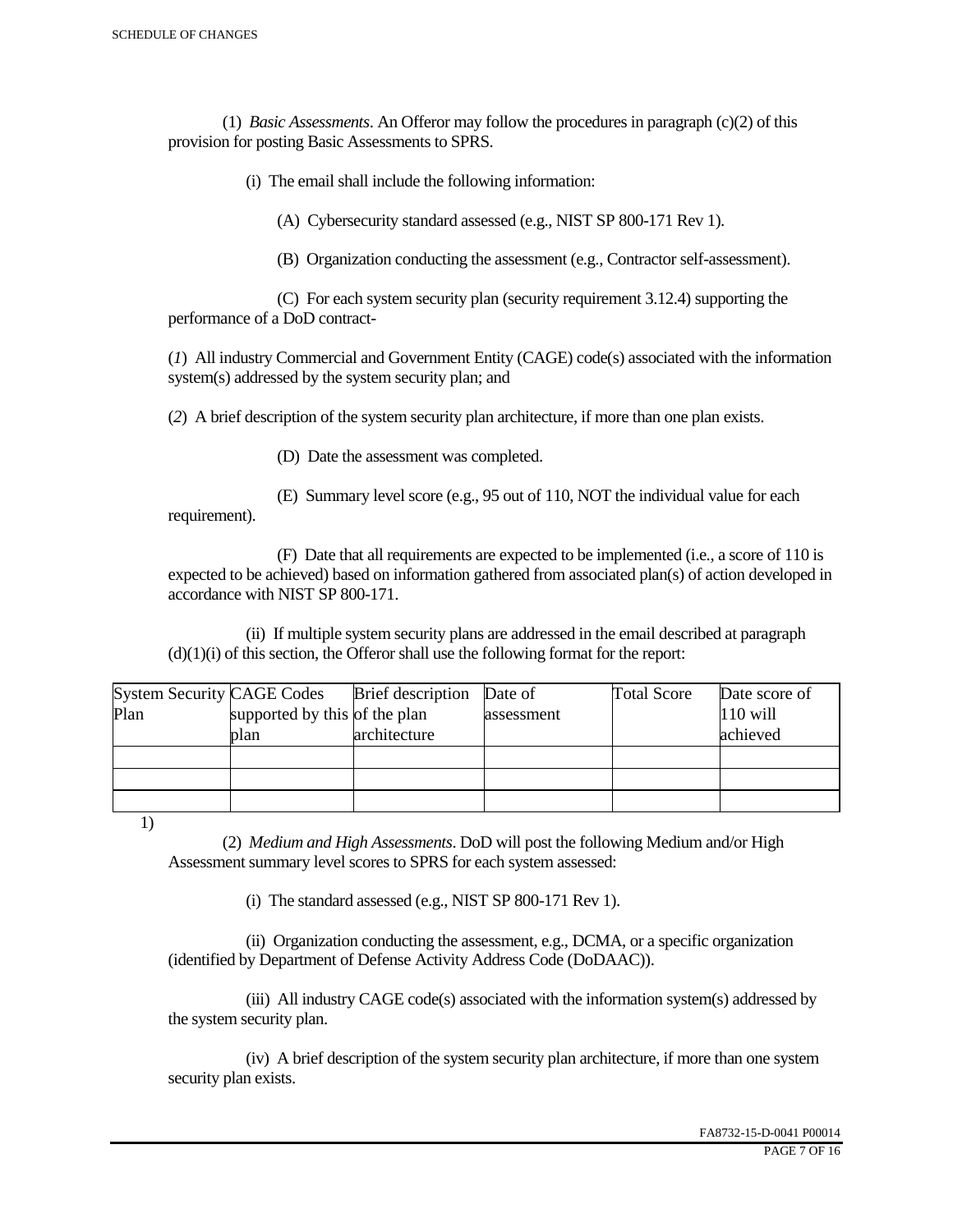(1) *Basic Assessments*. An Offeror may follow the procedures in paragraph (c)(2) of this provision for posting Basic Assessments to SPRS.

(i) The email shall include the following information:

(A) Cybersecurity standard assessed (e.g., NIST SP 800-171 Rev 1).

(B) Organization conducting the assessment (e.g., Contractor self-assessment).

 (C) For each system security plan (security requirement 3.12.4) supporting the performance of a DoD contract-

(*1*) All industry Commercial and Government Entity (CAGE) code(s) associated with the information system(s) addressed by the system security plan; and

(*2*) A brief description of the system security plan architecture, if more than one plan exists.

(D) Date the assessment was completed.

 (E) Summary level score (e.g., 95 out of 110, NOT the individual value for each requirement).

 (F) Date that all requirements are expected to be implemented (i.e., a score of 110 is expected to be achieved) based on information gathered from associated plan(s) of action developed in accordance with NIST SP 800-171.

 (ii) If multiple system security plans are addressed in the email described at paragraph  $(d)(1)(i)$  of this section, the Offeror shall use the following format for the report:

| <b>System Security CAGE Codes</b> |                               | <b>Brief</b> description | Date of    | <b>Total Score</b> | Date score of |
|-----------------------------------|-------------------------------|--------------------------|------------|--------------------|---------------|
| Plan                              | supported by this of the plan |                          | assessment |                    | $110$ will    |
|                                   | plan                          | architecture             |            |                    | achieved      |
|                                   |                               |                          |            |                    |               |
|                                   |                               |                          |            |                    |               |
|                                   |                               |                          |            |                    |               |

1)

 (2) *Medium and High Assessments*. DoD will post the following Medium and/or High Assessment summary level scores to SPRS for each system assessed:

(i) The standard assessed (e.g., NIST SP 800-171 Rev 1).

 (ii) Organization conducting the assessment, e.g., DCMA, or a specific organization (identified by Department of Defense Activity Address Code (DoDAAC)).

 (iii) All industry CAGE code(s) associated with the information system(s) addressed by the system security plan.

 (iv) A brief description of the system security plan architecture, if more than one system security plan exists.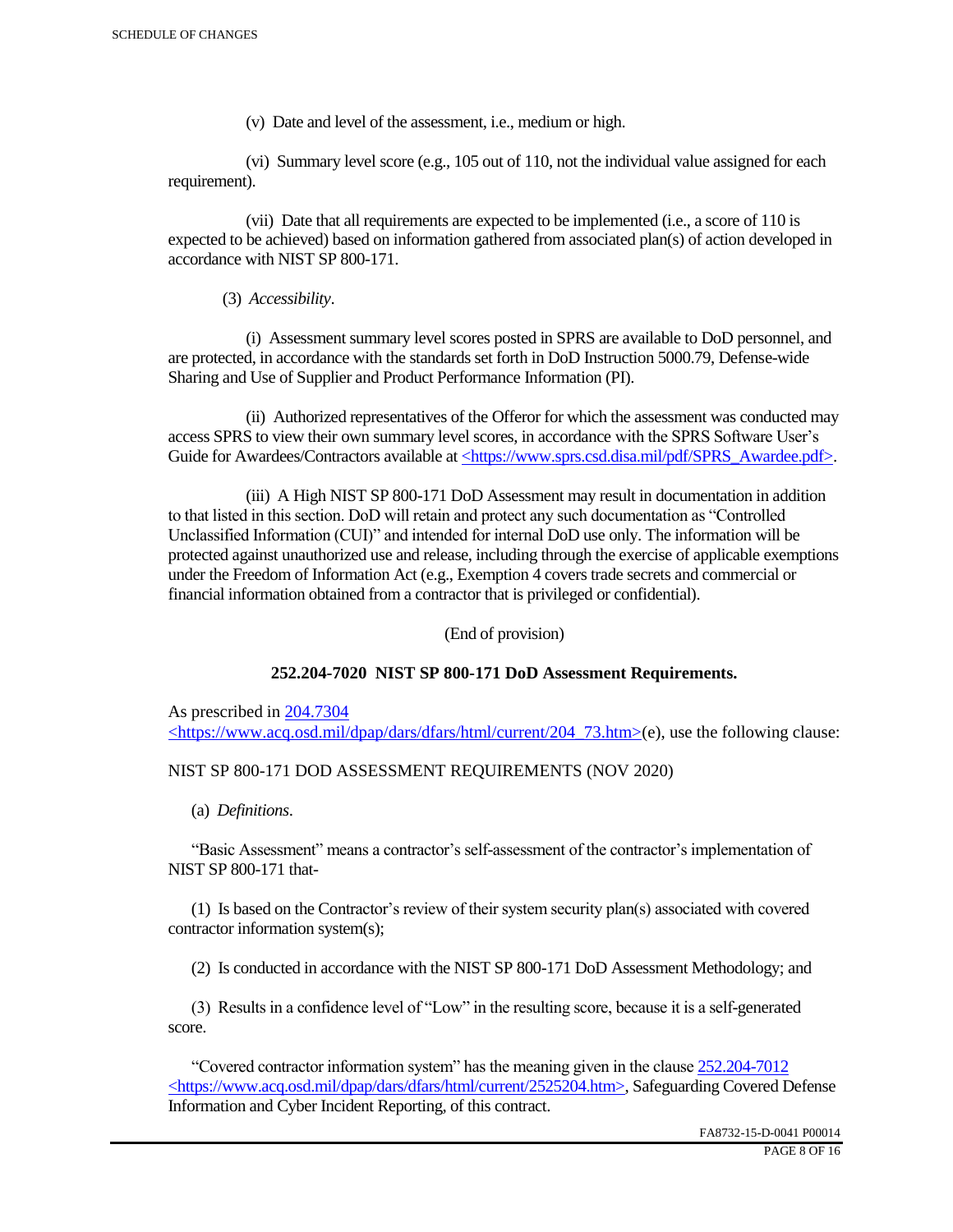(v) Date and level of the assessment, i.e., medium or high.

 (vi) Summary level score (e.g., 105 out of 110, not the individual value assigned for each requirement).

 (vii) Date that all requirements are expected to be implemented (i.e., a score of 110 is expected to be achieved) based on information gathered from associated plan(s) of action developed in accordance with NIST SP 800-171.

(3) *Accessibility*.

 (i) Assessment summary level scores posted in SPRS are available to DoD personnel, and are protected, in accordance with the standards set forth in DoD Instruction 5000.79, Defense-wide Sharing and Use of Supplier and Product Performance Information (PI).

 (ii) Authorized representatives of the Offeror for which the assessment was conducted may access SPRS to view their own summary level scores, in accordance with the SPRS Software User's Guide for Awardees/Contractors available at <https://www.sprs.csd.disa.mil/pdf/SPRS\_Awardee.pdf>.

 (iii) A High NIST SP 800-171 DoD Assessment may result in documentation in addition to that listed in this section. DoD will retain and protect any such documentation as "Controlled Unclassified Information (CUI)" and intended for internal DoD use only. The information will be protected against unauthorized use and release, including through the exercise of applicable exemptions under the Freedom of Information Act (e.g., Exemption 4 covers trade secrets and commercial or financial information obtained from a contractor that is privileged or confidential).

(End of provision)

## **252.204-7020 NIST SP 800-171 DoD Assessment Requirements.**

As prescribed in 204.7304 <https://www.acq.osd.mil/dpap/dars/dfars/html/current/204\_73.htm>(e), use the following clause:

## NIST SP 800-171 DOD ASSESSMENT REQUIREMENTS (NOV 2020)

(a) *Definitions*.

 "Basic Assessment" means a contractor's self-assessment of the contractor's implementation of NIST SP 800-171 that-

 (1) Is based on the Contractor's review of their system security plan(s) associated with covered contractor information system(s);

(2) Is conducted in accordance with the NIST SP 800-171 DoD Assessment Methodology; and

 (3) Results in a confidence level of "Low" in the resulting score, because it is a self-generated score.

 "Covered contractor information system" has the meaning given in the clause 252.204-7012 <https://www.acq.osd.mil/dpap/dars/dfars/html/current/2525204.htm>, Safeguarding Covered Defense Information and Cyber Incident Reporting, of this contract.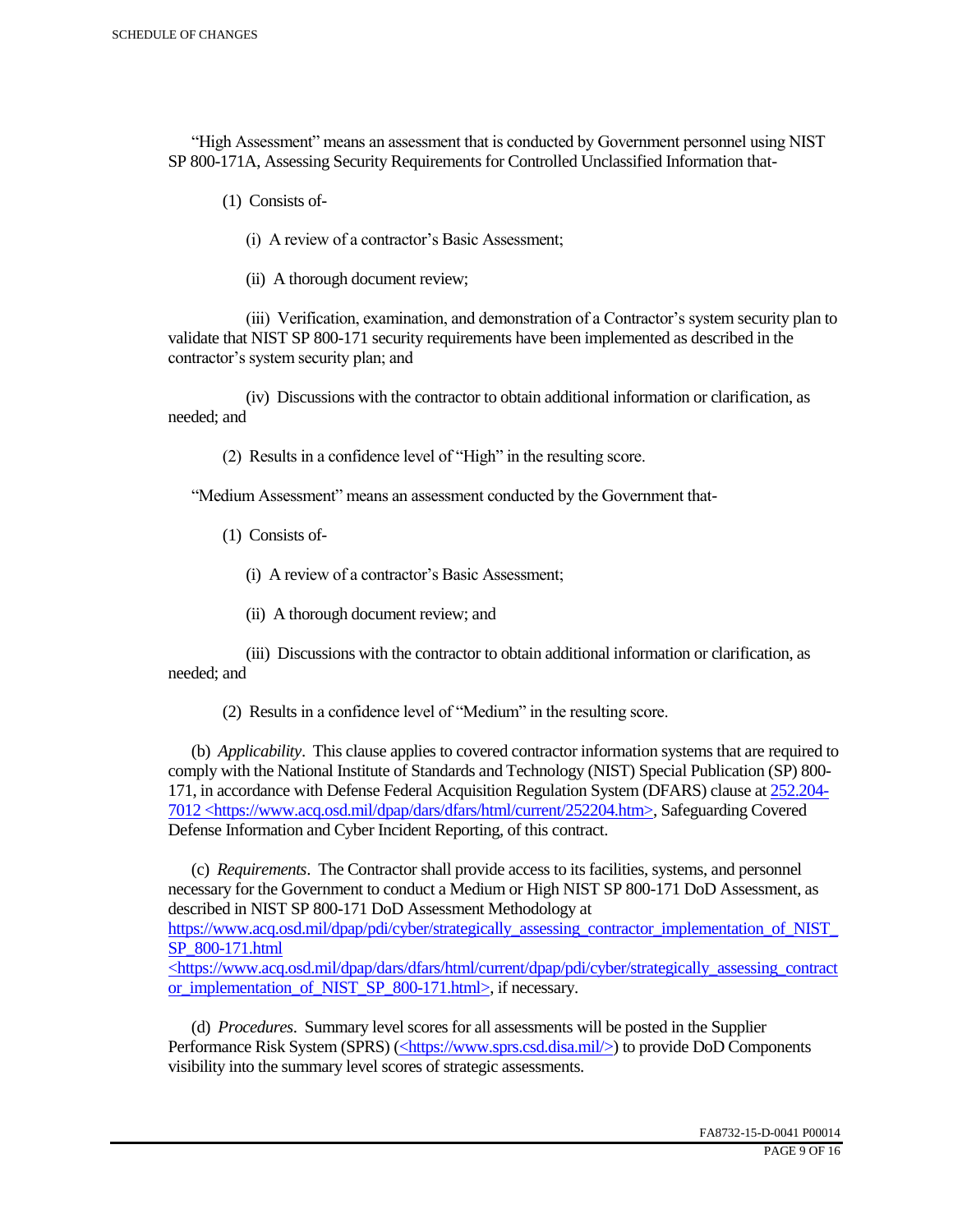"High Assessment" means an assessment that is conducted by Government personnel using NIST SP 800-171A, Assessing Security Requirements for Controlled Unclassified Information that-

(1) Consists of-

(i) A review of a contractor's Basic Assessment;

(ii) A thorough document review;

 (iii) Verification, examination, and demonstration of a Contractor's system security plan to validate that NIST SP 800-171 security requirements have been implemented as described in the contractor's system security plan; and

 (iv) Discussions with the contractor to obtain additional information or clarification, as needed; and

(2) Results in a confidence level of "High" in the resulting score.

"Medium Assessment" means an assessment conducted by the Government that-

(1) Consists of-

(i) A review of a contractor's Basic Assessment;

(ii) A thorough document review; and

 (iii) Discussions with the contractor to obtain additional information or clarification, as needed; and

(2) Results in a confidence level of "Medium" in the resulting score.

 (b) *Applicability*. This clause applies to covered contractor information systems that are required to comply with the National Institute of Standards and Technology (NIST) Special Publication (SP) 800- 171, in accordance with Defense Federal Acquisition Regulation System (DFARS) clause at 252.204- 7012 <https://www.acq.osd.mil/dpap/dars/dfars/html/current/252204.htm>, Safeguarding Covered Defense Information and Cyber Incident Reporting, of this contract.

 (c) *Requirements*. The Contractor shall provide access to its facilities, systems, and personnel necessary for the Government to conduct a Medium or High NIST SP 800-171 DoD Assessment, as described in NIST SP 800-171 DoD Assessment Methodology at https://www.acq.osd.mil/dpap/pdi/cyber/strategically\_assessing\_contractor\_implementation\_of\_NIST\_ SP\_800-171.html <https://www.acq.osd.mil/dpap/dars/dfars/html/current/dpap/pdi/cyber/strategically\_assessing\_contract

or implementation of NIST SP 800-171.html>, if necessary.

 (d) *Procedures*. Summary level scores for all assessments will be posted in the Supplier Performance Risk System (SPRS) (<https://www.sprs.csd.disa.mil/>) to provide DoD Components visibility into the summary level scores of strategic assessments.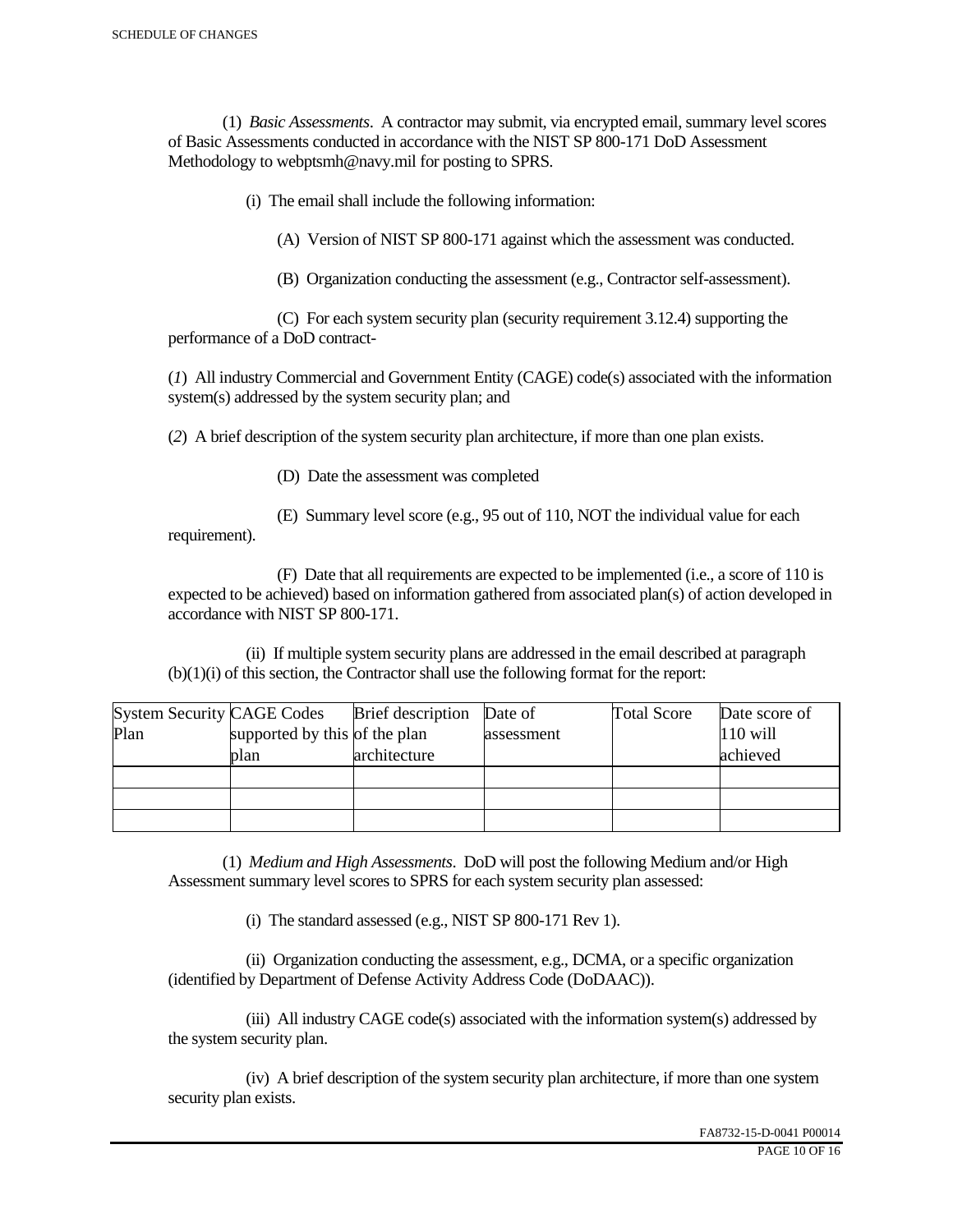(1) *Basic Assessments*. A contractor may submit, via encrypted email, summary level scores of Basic Assessments conducted in accordance with the NIST SP 800-171 DoD Assessment Methodology to webptsmh@navy.mil for posting to SPRS.

(i) The email shall include the following information:

(A) Version of NIST SP 800-171 against which the assessment was conducted.

(B) Organization conducting the assessment (e.g., Contractor self-assessment).

 (C) For each system security plan (security requirement 3.12.4) supporting the performance of a DoD contract-

(*1*) All industry Commercial and Government Entity (CAGE) code(s) associated with the information system(s) addressed by the system security plan; and

(*2*) A brief description of the system security plan architecture, if more than one plan exists.

(D) Date the assessment was completed

requirement).

(E) Summary level score (e.g., 95 out of 110, NOT the individual value for each

 (F) Date that all requirements are expected to be implemented (i.e., a score of 110 is expected to be achieved) based on information gathered from associated plan(s) of action developed in accordance with NIST SP 800-171.

 (ii) If multiple system security plans are addressed in the email described at paragraph (b)(1)(i) of this section, the Contractor shall use the following format for the report:

| <b>System Security CAGE Codes</b> |                               | <b>Brief</b> description | Date of    | <b>Total Score</b> | Date score of |
|-----------------------------------|-------------------------------|--------------------------|------------|--------------------|---------------|
| Plan                              | supported by this of the plan |                          | assessment |                    | $110$ will    |
|                                   | plan                          | architecture             |            |                    | achieved      |
|                                   |                               |                          |            |                    |               |
|                                   |                               |                          |            |                    |               |
|                                   |                               |                          |            |                    |               |

 (1) *Medium and High Assessments*. DoD will post the following Medium and/or High Assessment summary level scores to SPRS for each system security plan assessed:

(i) The standard assessed (e.g., NIST SP 800-171 Rev 1).

 (ii) Organization conducting the assessment, e.g., DCMA, or a specific organization (identified by Department of Defense Activity Address Code (DoDAAC)).

 (iii) All industry CAGE code(s) associated with the information system(s) addressed by the system security plan.

 (iv) A brief description of the system security plan architecture, if more than one system security plan exists.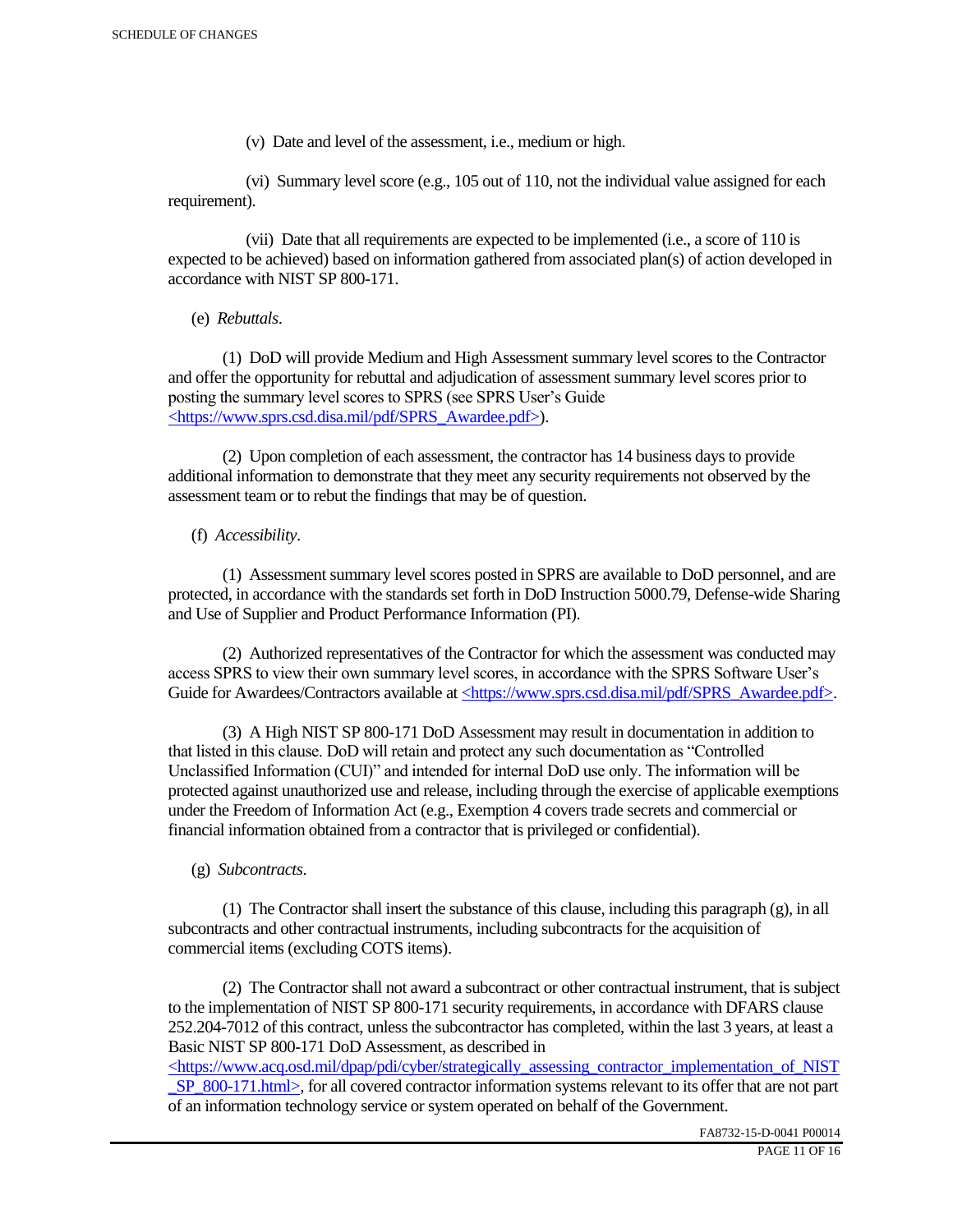(v) Date and level of the assessment, i.e., medium or high.

 (vi) Summary level score (e.g., 105 out of 110, not the individual value assigned for each requirement).

 (vii) Date that all requirements are expected to be implemented (i.e., a score of 110 is expected to be achieved) based on information gathered from associated plan(s) of action developed in accordance with NIST SP 800-171.

(e) *Rebuttals*.

 (1) DoD will provide Medium and High Assessment summary level scores to the Contractor and offer the opportunity for rebuttal and adjudication of assessment summary level scores prior to posting the summary level scores to SPRS (see SPRS User's Guide <https://www.sprs.csd.disa.mil/pdf/SPRS\_Awardee.pdf>).

 (2) Upon completion of each assessment, the contractor has 14 business days to provide additional information to demonstrate that they meet any security requirements not observed by the assessment team or to rebut the findings that may be of question.

## (f) *Accessibility*.

 (1) Assessment summary level scores posted in SPRS are available to DoD personnel, and are protected, in accordance with the standards set forth in DoD Instruction 5000.79, Defense-wide Sharing and Use of Supplier and Product Performance Information (PI).

 (2) Authorized representatives of the Contractor for which the assessment was conducted may access SPRS to view their own summary level scores, in accordance with the SPRS Software User's Guide for Awardees/Contractors available at <https://www.sprs.csd.disa.mil/pdf/SPRS\_Awardee.pdf>.

 (3) A High NIST SP 800-171 DoD Assessment may result in documentation in addition to that listed in this clause. DoD will retain and protect any such documentation as "Controlled Unclassified Information (CUI)" and intended for internal DoD use only. The information will be protected against unauthorized use and release, including through the exercise of applicable exemptions under the Freedom of Information Act (e.g., Exemption 4 covers trade secrets and commercial or financial information obtained from a contractor that is privileged or confidential).

## (g) *Subcontracts*.

(1) The Contractor shall insert the substance of this clause, including this paragraph  $(g)$ , in all subcontracts and other contractual instruments, including subcontracts for the acquisition of commercial items (excluding COTS items).

 (2) The Contractor shall not award a subcontract or other contractual instrument, that is subject to the implementation of NIST SP 800-171 security requirements, in accordance with DFARS clause 252.204-7012 of this contract, unless the subcontractor has completed, within the last 3 years, at least a Basic NIST SP 800-171 DoD Assessment, as described in

 $\langle$ https://www.acq.osd.mil/dpap/pdi/cyber/strategically\_assessing\_contractor\_implementation\_of\_NIST SP\_800-171.html>, for all covered contractor information systems relevant to its offer that are not part of an information technology service or system operated on behalf of the Government.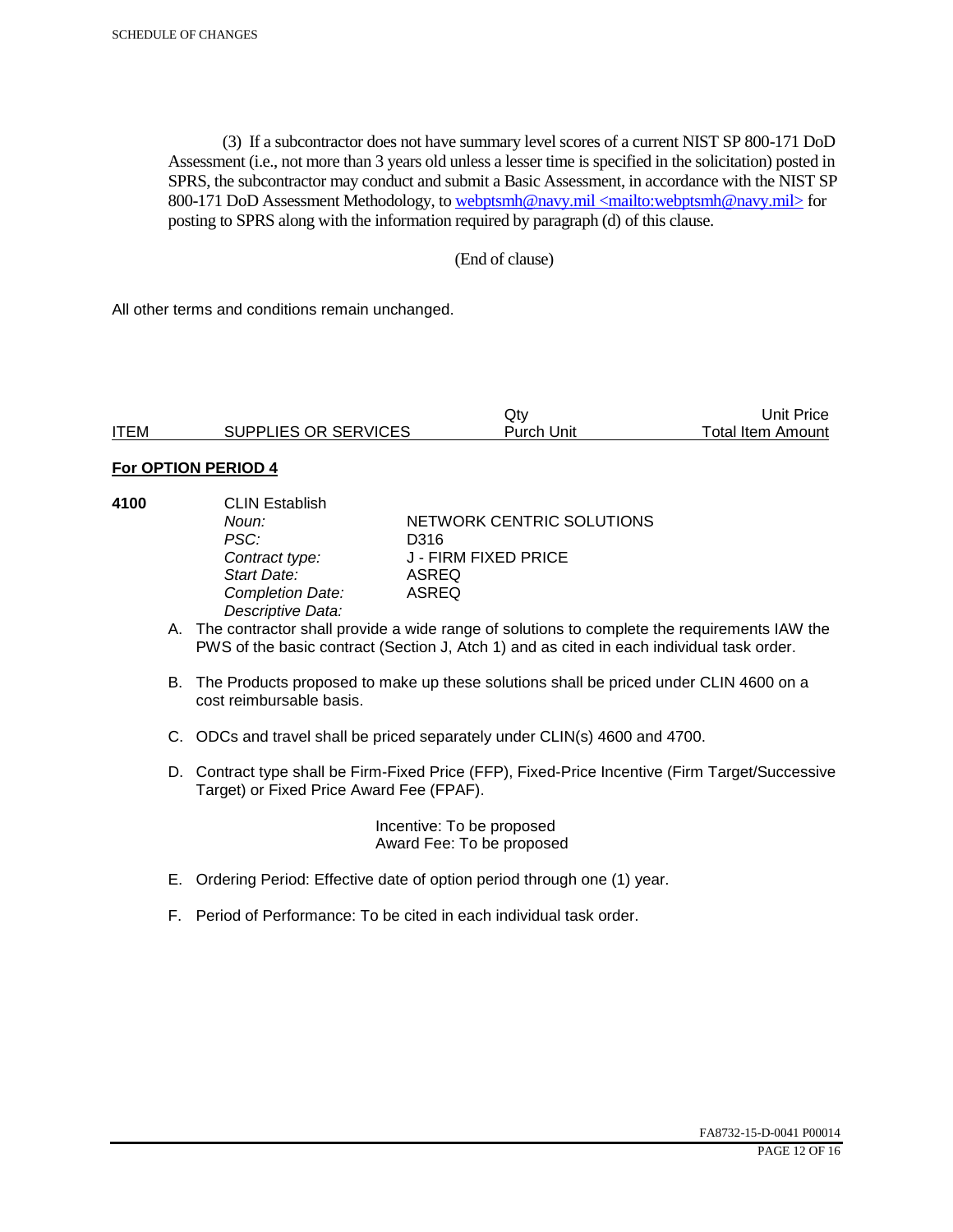(3) If a subcontractor does not have summary level scores of a current NIST SP 800-171 DoD Assessment (i.e., not more than 3 years old unless a lesser time is specified in the solicitation) posted in SPRS, the subcontractor may conduct and submit a Basic Assessment, in accordance with the NIST SP 800-171 DoD Assessment Methodology, to webptsmh@navy.mil <mailto:webptsmh@navy.mil> for posting to SPRS along with the information required by paragraph (d) of this clause.

### (End of clause)

All other terms and conditions remain unchanged.

|             |                      | Jt∨               | 'Jnit Price              |
|-------------|----------------------|-------------------|--------------------------|
| <b>ITEM</b> | SUPPLIES OR SERVICES | <b>Purch Unit</b> | <b>Total Item Amount</b> |

#### **For OPTION PERIOD 4**

| 4100 | <b>CLIN Establish</b> |                           |  |
|------|-----------------------|---------------------------|--|
|      | Noun:                 | NETWORK CENTRIC SOLUTIONS |  |
|      | PSC:                  | D316                      |  |
|      | Contract type:        | J - FIRM FIXED PRICE      |  |
|      | Start Date:           | ASREQ                     |  |
|      | Completion Date:      | <b>ASREQ</b>              |  |
|      | Descriptive Data:     |                           |  |
|      |                       |                           |  |

- A. The contractor shall provide a wide range of solutions to complete the requirements IAW the PWS of the basic contract (Section J, Atch 1) and as cited in each individual task order.
- B. The Products proposed to make up these solutions shall be priced under CLIN 4600 on a cost reimbursable basis.
- C. ODCs and travel shall be priced separately under CLIN(s) 4600 and 4700.
- D. Contract type shall be Firm-Fixed Price (FFP), Fixed-Price Incentive (Firm Target/Successive Target) or Fixed Price Award Fee (FPAF).

 Incentive: To be proposed Award Fee: To be proposed

- E. Ordering Period: Effective date of option period through one (1) year.
- F. Period of Performance: To be cited in each individual task order.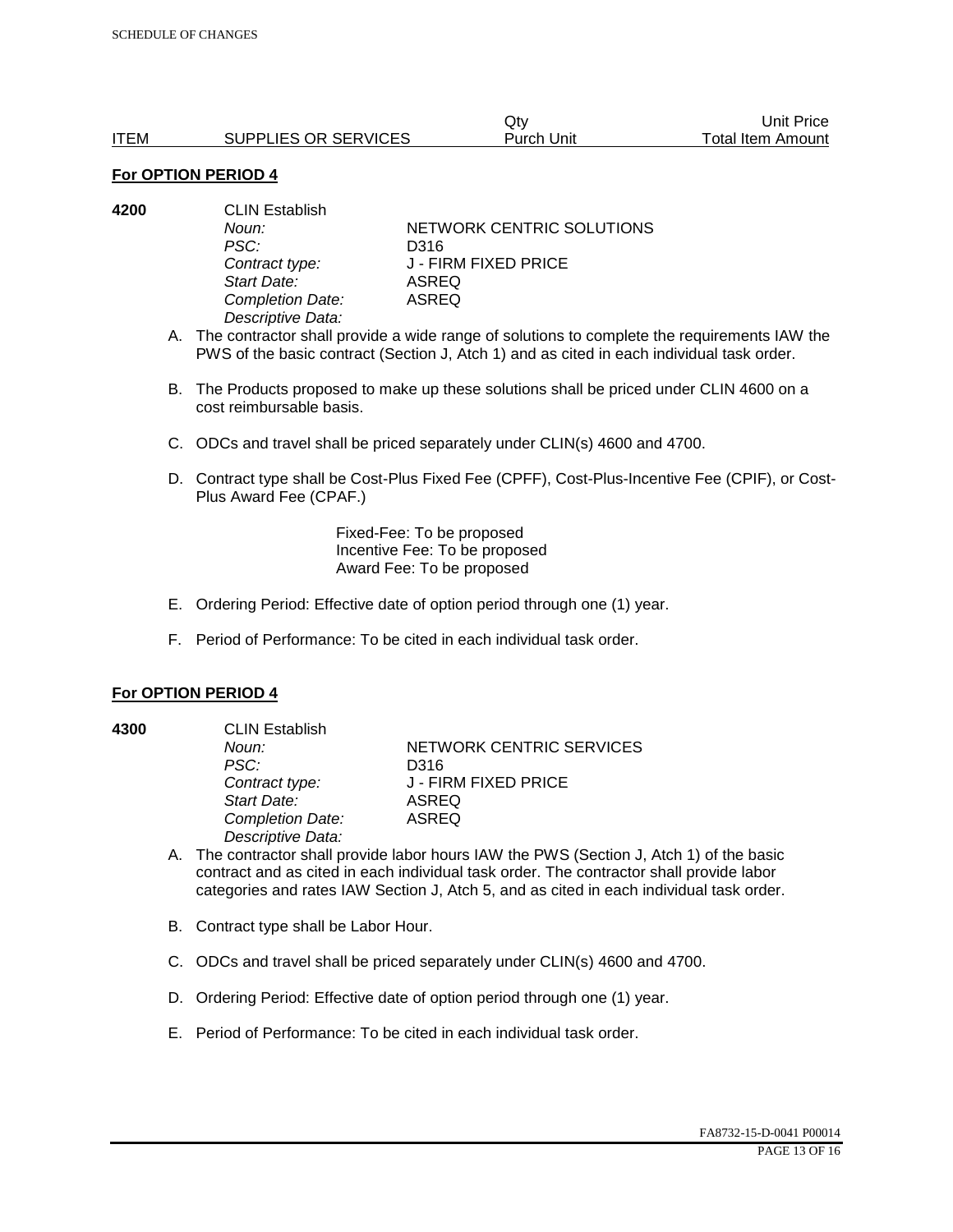|             |                      | Qtv        | Unit Price        |
|-------------|----------------------|------------|-------------------|
| <b>ITEM</b> | SUPPLIES OR SERVICES | Purch Unit | Total Item Amount |

| 4200 | <b>CLIN Establish</b> |                           |  |
|------|-----------------------|---------------------------|--|
|      | Noun:                 | NETWORK CENTRIC SOLUTIONS |  |
|      | PSC:                  | D316                      |  |
|      | Contract type:        | J - FIRM FIXED PRICE      |  |
|      | Start Date:           | ASREQ                     |  |
|      | Completion Date:      | ASREQ                     |  |
|      | Descriptive Data:     |                           |  |

A. The contractor shall provide a wide range of solutions to complete the requirements IAW the PWS of the basic contract (Section J, Atch 1) and as cited in each individual task order.

- B. The Products proposed to make up these solutions shall be priced under CLIN 4600 on a cost reimbursable basis.
- C. ODCs and travel shall be priced separately under CLIN(s) 4600 and 4700.
- D. Contract type shall be Cost-Plus Fixed Fee (CPFF), Cost-Plus-Incentive Fee (CPIF), or Cost-Plus Award Fee (CPAF.)

Fixed-Fee: To be proposed Incentive Fee: To be proposed Award Fee: To be proposed

- E. Ordering Period: Effective date of option period through one (1) year.
- F. Period of Performance: To be cited in each individual task order.

#### **For OPTION PERIOD 4**

**4300** CLIN Establish *PSC:* D316 *Start Date:* ASREQ *Completion Date:* ASREQ *Descriptive Data:* 

**Noun: NETWORK CENTRIC SERVICES** *Contract type:* J - FIRM FIXED PRICE

- A. The contractor shall provide labor hours IAW the PWS (Section J, Atch 1) of the basic contract and as cited in each individual task order. The contractor shall provide labor categories and rates IAW Section J, Atch 5, and as cited in each individual task order.
- B. Contract type shall be Labor Hour.
- C. ODCs and travel shall be priced separately under CLIN(s) 4600 and 4700.
- D. Ordering Period: Effective date of option period through one (1) year.
- E. Period of Performance: To be cited in each individual task order.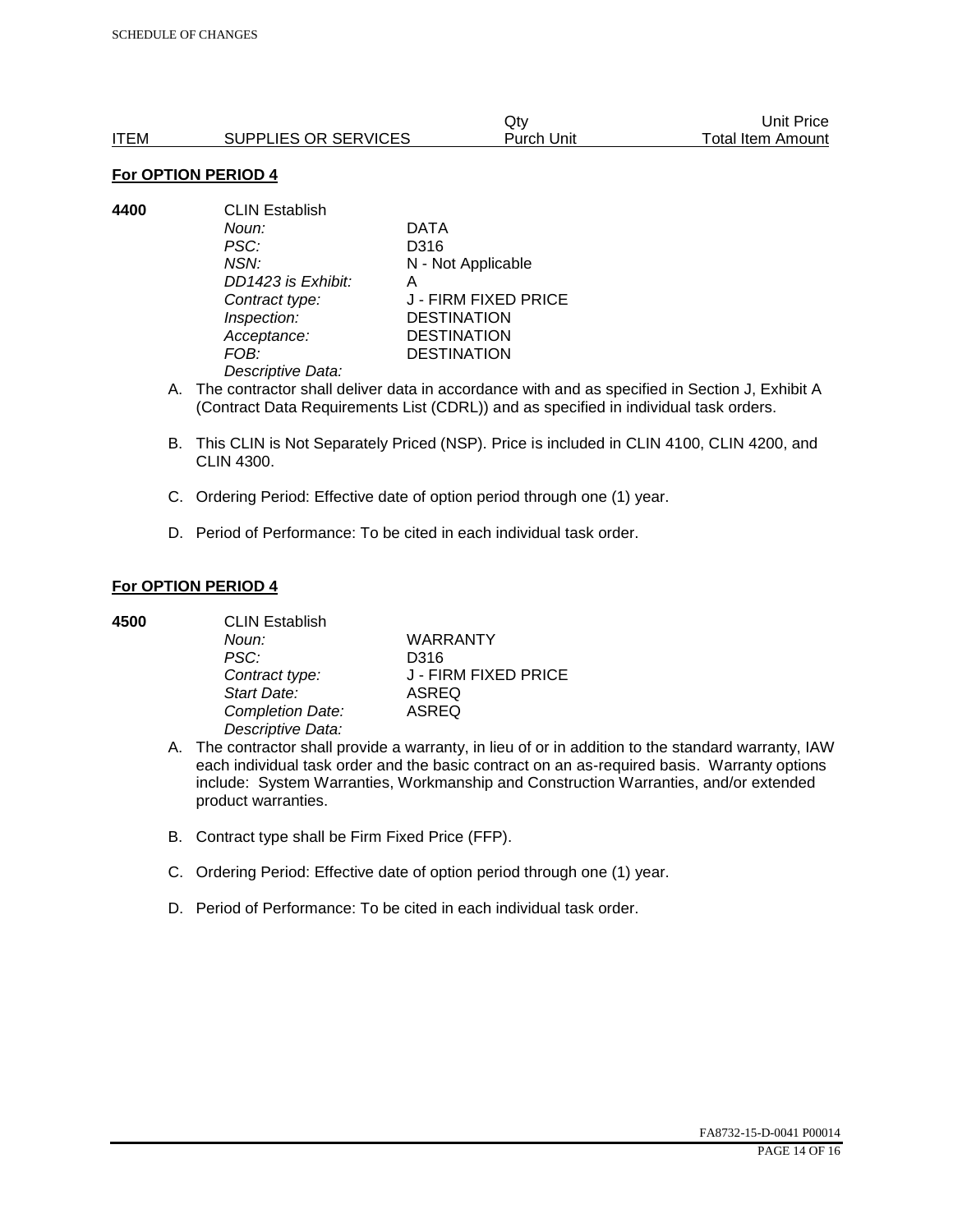|      |                      | Qtv        | Unit Price        |
|------|----------------------|------------|-------------------|
| ITEM | SUPPLIES OR SERVICES | Purch Unit | Total Item Amount |

**4400** CLIN Establish *Noun:* DATA *PSC:* D316 *NSN:* N - Not Applicable *DD1423 is Exhibit:* A *Contract type:* J - FIRM FIXED PRICE *Inspection:* DESTINATION *Acceptance:* DESTINATION *FOB:* DESTINATION *Descriptive Data:* 

- A. The contractor shall deliver data in accordance with and as specified in Section J, Exhibit A (Contract Data Requirements List (CDRL)) and as specified in individual task orders.
- B. This CLIN is Not Separately Priced (NSP). Price is included in CLIN 4100, CLIN 4200, and CLIN 4300.
- C. Ordering Period: Effective date of option period through one (1) year.
- D. Period of Performance: To be cited in each individual task order.

### **For OPTION PERIOD 4**

**4500** CLIN Establish

| -------------     |                      |
|-------------------|----------------------|
| Noun:             | <b>WARRANTY</b>      |
| PSC:              | D316                 |
| Contract type:    | J - FIRM FIXED PRICE |
| Start Date:       | ASREQ                |
| Completion Date:  | ASREQ                |
| Descriptive Data: |                      |
|                   |                      |

- A. The contractor shall provide a warranty, in lieu of or in addition to the standard warranty, IAW each individual task order and the basic contract on an as-required basis. Warranty options include: System Warranties, Workmanship and Construction Warranties, and/or extended product warranties.
- B. Contract type shall be Firm Fixed Price (FFP).
- C. Ordering Period: Effective date of option period through one (1) year.
- D. Period of Performance: To be cited in each individual task order.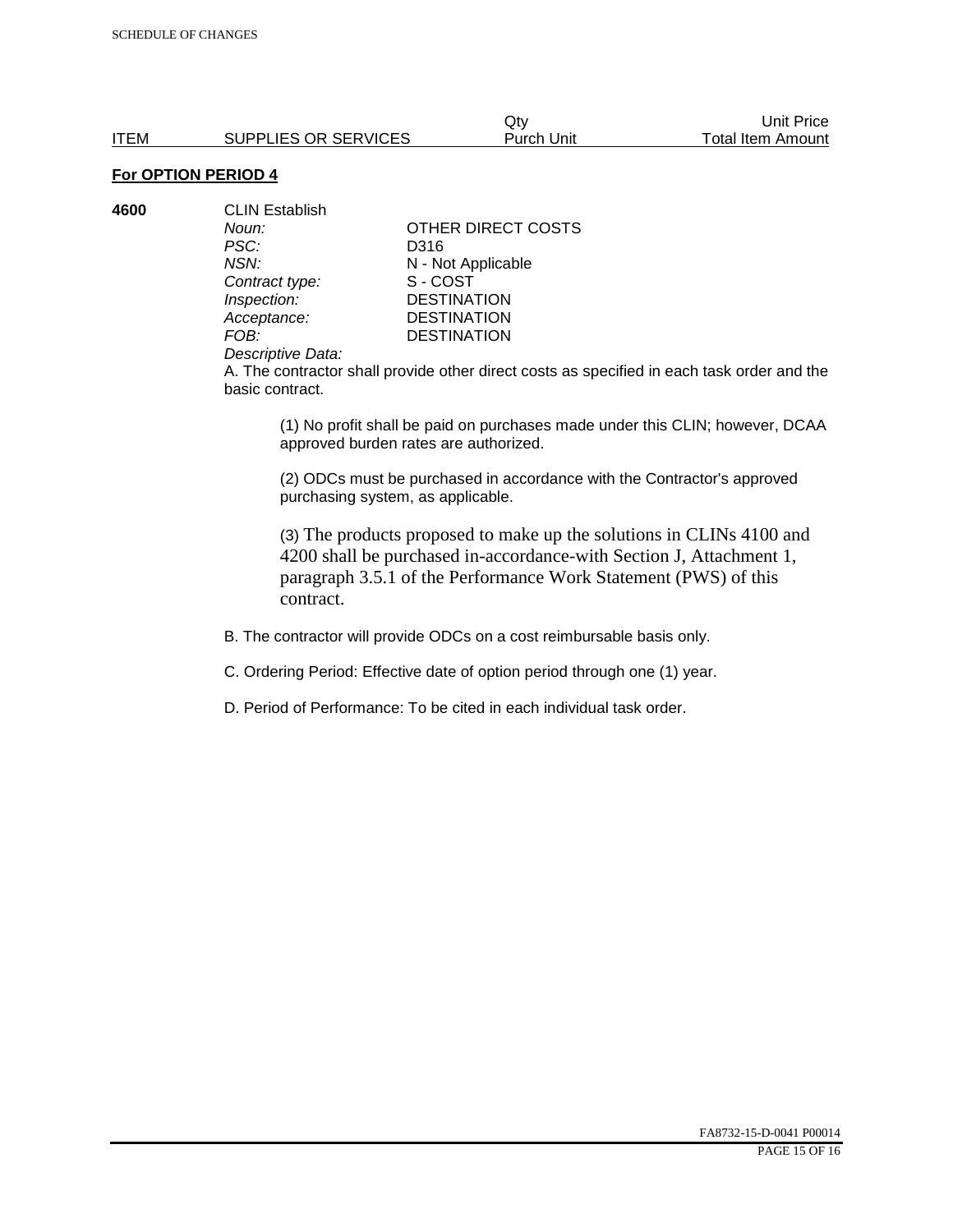**4600** CLIN Establish *PSC:* D316 **Contract type:** 

*Noun:* **CONTACT OTHER DIRECT COSTS** *NSN:* **N** - Not Applicable<br>
Contract type: S - COST *Inspection:* DESTINATION<br> *Acceptance:* DESTINATION *Acceptance:* DESTINATION<br>FOB: DESTINATION **DESTINATION** 

#### *Descriptive Data:*

A. The contractor shall provide other direct costs as specified in each task order and the basic contract.

(1) No profit shall be paid on purchases made under this CLIN; however, DCAA approved burden rates are authorized.

(2) ODCs must be purchased in accordance with the Contractor's approved purchasing system, as applicable.

(3) The products proposed to make up the solutions in CLINs 4100 and 4200 shall be purchased in-accordance-with Section J, Attachment 1, paragraph 3.5.1 of the Performance Work Statement (PWS) of this contract.

B. The contractor will provide ODCs on a cost reimbursable basis only.

C. Ordering Period: Effective date of option period through one (1) year.

D. Period of Performance: To be cited in each individual task order.